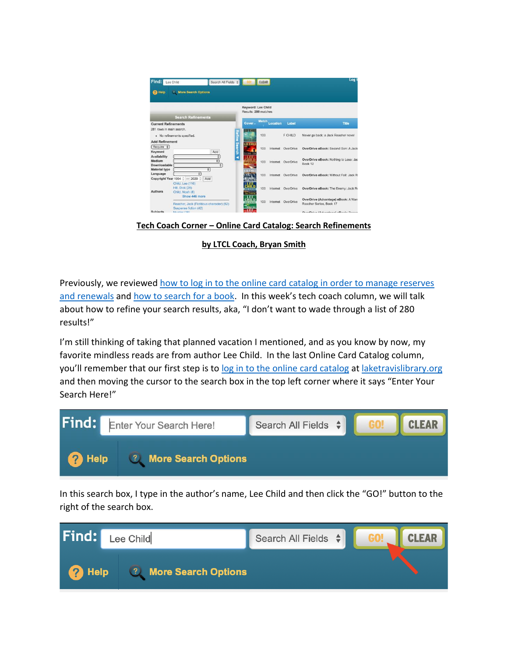

**Tech Coach Corner – Online Card Catalog: Search Refinements**

**by LTCL Coach, Bryan Smith**

Previously, we reviewed [how to log in to the online card catalog in order to manage reserves](https://laketravislibrary.org/wp-content/uploads/2020/07/Tech-Coach-Corner-–-Online-Card-Catalog-Logging-in-to-manage-reserves-and-renewals-2020-07-12.pdf)  [and renewals](https://laketravislibrary.org/wp-content/uploads/2020/07/Tech-Coach-Corner-–-Online-Card-Catalog-Logging-in-to-manage-reserves-and-renewals-2020-07-12.pdf) and [how to search for a book.](http://d31hzlhk6di2h5.cloudfront.net/20200723/c2/c1/fc/16/36c39878d0517a6765a7b53b/Tech_Coach_Corner___Online_Card_Catalog-_How_to_search_for_a_book_-_2020-07-27.pdf) In this week's tech coach column, we will talk about how to refine your search results, aka, "I don't want to wade through a list of 280 results!"

I'm still thinking of taking that planned vacation I mentioned, and as you know by now, my favorite mindless reads are from author Lee Child. In the last Online Card Catalog column, you'll remember that our first step is to [log in to the online card catalog](https://laketravis.biblionix.com/catalog) at [laketravislibrary.org](https://laketravislibrary.org/) and then moving the cursor to the search box in the top left corner where it says "Enter Your Search Here!"



In this search box, I type in the author's name, Lee Child and then click the "GO!" button to the right of the search box.

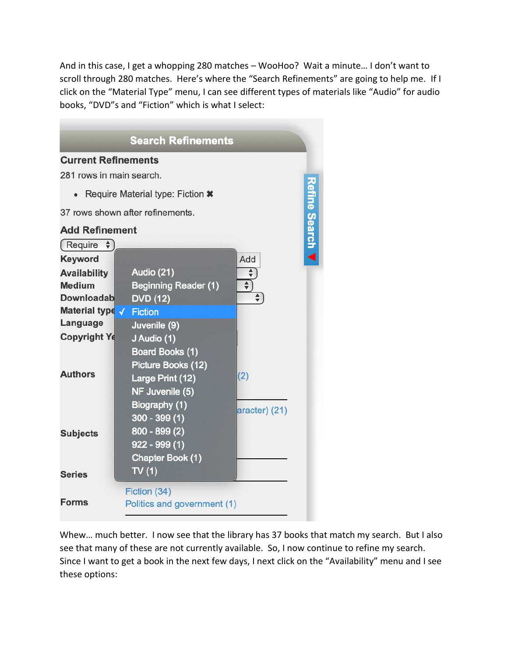And in this case, I get a whopping 280 matches – WooHoo? Wait a minute… I don't want to scroll through 280 matches. Here's where the "Search Refinements" are going to help me. If I click on the "Material Type" menu, I can see different types of materials like "Audio" for audio books, "DVD"s and "Fiction" which is what I select:

| <b>Search Refinements</b>            |                                                                                                  |                           |                      |  |  |  |  |
|--------------------------------------|--------------------------------------------------------------------------------------------------|---------------------------|----------------------|--|--|--|--|
| <b>Current Refinements</b>           |                                                                                                  |                           |                      |  |  |  |  |
| 281 rows in main search.             |                                                                                                  |                           |                      |  |  |  |  |
|                                      | Require Material type: Fiction *                                                                 |                           |                      |  |  |  |  |
| 37 rows shown after refinements.     |                                                                                                  |                           |                      |  |  |  |  |
| <b>Add Refinement</b>                |                                                                                                  |                           | <b>Refine Search</b> |  |  |  |  |
| $($ Require $\phi$                   |                                                                                                  |                           |                      |  |  |  |  |
| <b>Keyword</b>                       |                                                                                                  | Add                       |                      |  |  |  |  |
| <b>Availability</b><br><b>Medium</b> | Audio (21)<br><b>Beginning Reader (1)</b>                                                        | ♦<br>$\overline{\bullet}$ |                      |  |  |  |  |
| <b>Downloadab</b>                    | <b>DVD (12)</b>                                                                                  | $\frac{1}{\sqrt{2}}$      |                      |  |  |  |  |
| Material type / Fiction              |                                                                                                  |                           |                      |  |  |  |  |
| Language                             | Juvenile (9)                                                                                     |                           |                      |  |  |  |  |
| <b>Copyright Ye</b>                  | J Audio (1)                                                                                      |                           |                      |  |  |  |  |
| <b>Authors</b>                       | Board Books (1)<br>Picture Books (12)<br>Large Print (12)<br>NF Juvenile (5)                     | (2)                       |                      |  |  |  |  |
| <b>Subjects</b>                      | Biography (1)<br>$300 - 399(1)$<br>$800 - 899(2)$<br>$922 - 999(1)$<br>Chapter Book (1)<br>TV(1) | aracter) (21)             |                      |  |  |  |  |
| <b>Series</b>                        |                                                                                                  |                           |                      |  |  |  |  |
| Forms                                | Fiction (34)<br>Politics and government (1)                                                      |                           |                      |  |  |  |  |

Whew… much better. I now see that the library has 37 books that match my search. But I also see that many of these are not currently available. So, I now continue to refine my search. Since I want to get a book in the next few days, I next click on the "Availability" menu and I see these options: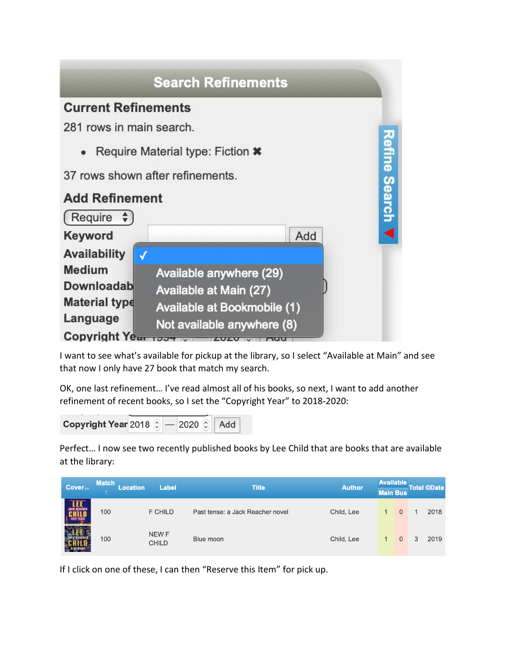

I want to see what's available for pickup at the library, so I select "Available at Main" and see that now I only have 27 book that match my search.

OK, one last refinement… I've read almost all of his books, so next, I want to add another refinement of recent books, so I set the "Copyright Year" to 2018-2020:

Copyright Year 2018  $\odot$  - 2020  $\odot$ Add

Perfect… I now see two recently published books by Lee Child that are books that are available at the library:

| Cover <sub>on</sub> | <b>Match</b> | <b>Location</b> | <b>Label</b>          | <b>Title</b>                     | <b>Author</b> | <b>Available</b><br><b>Main Bus</b> |                |   | <b>Total ©Date</b> |
|---------------------|--------------|-----------------|-----------------------|----------------------------------|---------------|-------------------------------------|----------------|---|--------------------|
| <b>JACK REACHER</b> | 100          |                 | <b>F CHILD</b>        | Past tense: a Jack Reacher novel | Child, Lee    |                                     | $\overline{0}$ |   | 2018               |
|                     | 100          |                 | NEW F<br><b>CHILD</b> | Blue moon                        | Child, Lee    |                                     | $\Omega$       | 3 | 2019               |

If I click on one of these, I can then "Reserve this Item" for pick up.